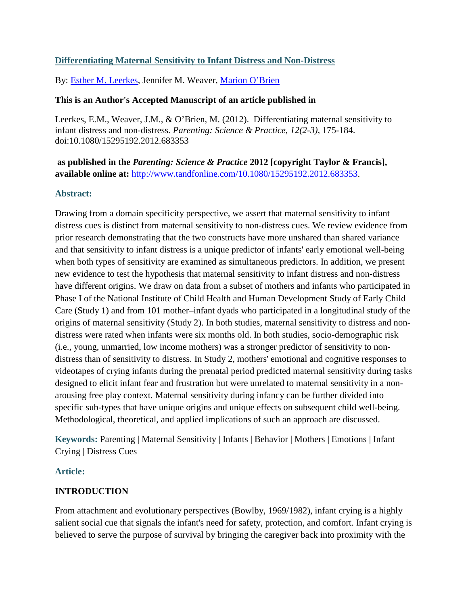## **Differentiating Maternal Sensitivity to Infant Distress and Non-Distress**

By: [Esther M. Leerkes,](https://libres.uncg.edu/ir/uncg/clist.aspx?id=1186) Jennifer M. Weaver, [Marion O'Brien](https://libres.uncg.edu/ir/uncg/clist.aspx?id=1332)

### **This is an Author's Accepted Manuscript of an article published in**

Leerkes, E.M., Weaver, J.M., & O'Brien, M. (2012). Differentiating maternal sensitivity to infant distress and non-distress*. Parenting: Science & Practice*, *12(2-3),* 175-184. doi:10.1080/15295192.2012.683353

# **as published in the** *Parenting: Science & Practice* **2012 [copyright Taylor & Francis], available online at:** [http://www.tandfonline.com/10.1080/15295192.2012.683353.](http://www.tandfonline.com/10.1080/15295192.2012.683353)

#### **Abstract:**

Drawing from a domain specificity perspective, we assert that maternal sensitivity to infant distress cues is distinct from maternal sensitivity to non-distress cues. We review evidence from prior research demonstrating that the two constructs have more unshared than shared variance and that sensitivity to infant distress is a unique predictor of infants' early emotional well-being when both types of sensitivity are examined as simultaneous predictors. In addition, we present new evidence to test the hypothesis that maternal sensitivity to infant distress and non-distress have different origins. We draw on data from a subset of mothers and infants who participated in Phase I of the National Institute of Child Health and Human Development Study of Early Child Care (Study 1) and from 101 mother–infant dyads who participated in a longitudinal study of the origins of maternal sensitivity (Study 2). In both studies, maternal sensitivity to distress and nondistress were rated when infants were six months old. In both studies, socio-demographic risk (i.e., young, unmarried, low income mothers) was a stronger predictor of sensitivity to nondistress than of sensitivity to distress. In Study 2, mothers' emotional and cognitive responses to videotapes of crying infants during the prenatal period predicted maternal sensitivity during tasks designed to elicit infant fear and frustration but were unrelated to maternal sensitivity in a nonarousing free play context. Maternal sensitivity during infancy can be further divided into specific sub-types that have unique origins and unique effects on subsequent child well-being. Methodological, theoretical, and applied implications of such an approach are discussed.

**Keywords:** Parenting | Maternal Sensitivity | Infants | Behavior | Mothers | Emotions | Infant Crying | Distress Cues

### **Article:**

# **INTRODUCTION**

From attachment and evolutionary perspectives (Bowlby, 1969/1982), infant crying is a highly salient social cue that signals the infant's need for safety, protection, and comfort. Infant crying is believed to serve the purpose of survival by bringing the caregiver back into proximity with the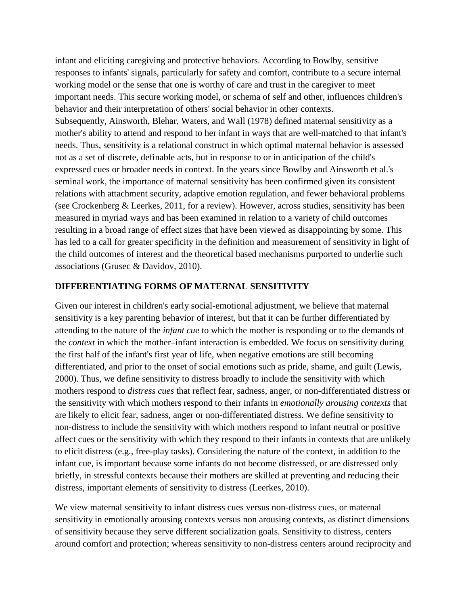infant and eliciting caregiving and protective behaviors. According to Bowlby, sensitive responses to infants' signals, particularly for safety and comfort, contribute to a secure internal working model or the sense that one is worthy of care and trust in the caregiver to meet important needs. This secure working model, or schema of self and other, influences children's behavior and their interpretation of others' social behavior in other contexts. Subsequently, Ainsworth, Blehar, Waters, and Wall (1978) defined maternal sensitivity as a mother's ability to attend and respond to her infant in ways that are well-matched to that infant's needs. Thus, sensitivity is a relational construct in which optimal maternal behavior is assessed not as a set of discrete, definable acts, but in response to or in anticipation of the child's expressed cues or broader needs in context. In the years since Bowlby and Ainsworth et al.'s seminal work, the importance of maternal sensitivity has been confirmed given its consistent relations with attachment security, adaptive emotion regulation, and fewer behavioral problems (see Crockenberg & Leerkes, 2011, for a review). However, across studies, sensitivity has been measured in myriad ways and has been examined in relation to a variety of child outcomes resulting in a broad range of effect sizes that have been viewed as disappointing by some. This has led to a call for greater specificity in the definition and measurement of sensitivity in light of the child outcomes of interest and the theoretical based mechanisms purported to underlie such associations (Grusec & Davidov, 2010).

#### **DIFFERENTIATING FORMS OF MATERNAL SENSITIVITY**

Given our interest in children's early social-emotional adjustment, we believe that maternal sensitivity is a key parenting behavior of interest, but that it can be further differentiated by attending to the nature of the *infant cue* to which the mother is responding or to the demands of the *context* in which the mother–infant interaction is embedded. We focus on sensitivity during the first half of the infant's first year of life, when negative emotions are still becoming differentiated, and prior to the onset of social emotions such as pride, shame, and guilt (Lewis, 2000). Thus, we define sensitivity to distress broadly to include the sensitivity with which mothers respond to *distress cues* that reflect fear, sadness, anger, or non-differentiated distress or the sensitivity with which mothers respond to their infants in *emotionally arousing contexts* that are likely to elicit fear, sadness, anger or non-differentiated distress. We define sensitivity to non-distress to include the sensitivity with which mothers respond to infant neutral or positive affect cues or the sensitivity with which they respond to their infants in contexts that are unlikely to elicit distress (e.g., free-play tasks). Considering the nature of the context, in addition to the infant cue, is important because some infants do not become distressed, or are distressed only briefly, in stressful contexts because their mothers are skilled at preventing and reducing their distress, important elements of sensitivity to distress (Leerkes, 2010).

We view maternal sensitivity to infant distress cues versus non-distress cues, or maternal sensitivity in emotionally arousing contexts versus non arousing contexts, as distinct dimensions of sensitivity because they serve different socialization goals. Sensitivity to distress, centers around comfort and protection; whereas sensitivity to non-distress centers around reciprocity and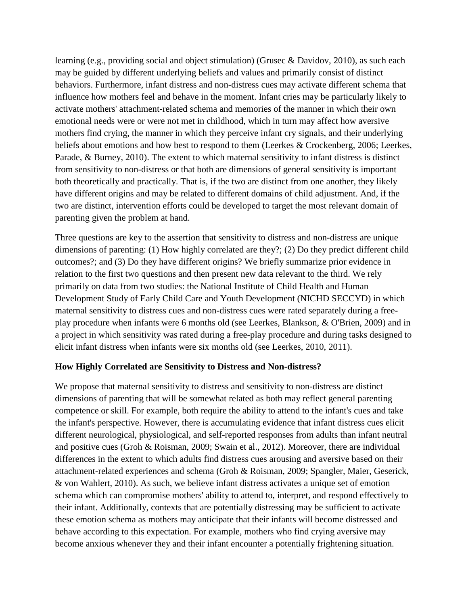learning (e.g., providing social and object stimulation) (Grusec & Davidov, 2010), as such each may be guided by different underlying beliefs and values and primarily consist of distinct behaviors. Furthermore, infant distress and non-distress cues may activate different schema that influence how mothers feel and behave in the moment. Infant cries may be particularly likely to activate mothers' attachment-related schema and memories of the manner in which their own emotional needs were or were not met in childhood, which in turn may affect how aversive mothers find crying, the manner in which they perceive infant cry signals, and their underlying beliefs about emotions and how best to respond to them (Leerkes & Crockenberg, 2006; Leerkes, Parade, & Burney, 2010). The extent to which maternal sensitivity to infant distress is distinct from sensitivity to non-distress or that both are dimensions of general sensitivity is important both theoretically and practically. That is, if the two are distinct from one another, they likely have different origins and may be related to different domains of child adjustment. And, if the two are distinct, intervention efforts could be developed to target the most relevant domain of parenting given the problem at hand.

Three questions are key to the assertion that sensitivity to distress and non-distress are unique dimensions of parenting: (1) How highly correlated are they?; (2) Do they predict different child outcomes?; and (3) Do they have different origins? We briefly summarize prior evidence in relation to the first two questions and then present new data relevant to the third. We rely primarily on data from two studies: the National Institute of Child Health and Human Development Study of Early Child Care and Youth Development (NICHD SECCYD) in which maternal sensitivity to distress cues and non-distress cues were rated separately during a freeplay procedure when infants were 6 months old (see Leerkes, Blankson, & O'Brien, 2009) and in a project in which sensitivity was rated during a free-play procedure and during tasks designed to elicit infant distress when infants were six months old (see Leerkes, 2010, 2011).

#### **How Highly Correlated are Sensitivity to Distress and Non-distress?**

We propose that maternal sensitivity to distress and sensitivity to non-distress are distinct dimensions of parenting that will be somewhat related as both may reflect general parenting competence or skill. For example, both require the ability to attend to the infant's cues and take the infant's perspective. However, there is accumulating evidence that infant distress cues elicit different neurological, physiological, and self-reported responses from adults than infant neutral and positive cues (Groh & Roisman, 2009; Swain et al., 2012). Moreover, there are individual differences in the extent to which adults find distress cues arousing and aversive based on their attachment-related experiences and schema (Groh & Roisman, 2009; Spangler, Maier, Geserick, & von Wahlert, 2010). As such, we believe infant distress activates a unique set of emotion schema which can compromise mothers' ability to attend to, interpret, and respond effectively to their infant. Additionally, contexts that are potentially distressing may be sufficient to activate these emotion schema as mothers may anticipate that their infants will become distressed and behave according to this expectation. For example, mothers who find crying aversive may become anxious whenever they and their infant encounter a potentially frightening situation.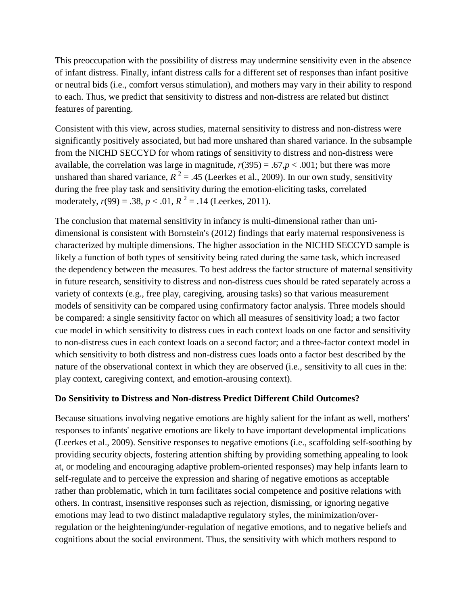This preoccupation with the possibility of distress may undermine sensitivity even in the absence of infant distress. Finally, infant distress calls for a different set of responses than infant positive or neutral bids (i.e., comfort versus stimulation), and mothers may vary in their ability to respond to each. Thus, we predict that sensitivity to distress and non-distress are related but distinct features of parenting.

Consistent with this view, across studies, maternal sensitivity to distress and non-distress were significantly positively associated, but had more unshared than shared variance. In the subsample from the NICHD SECCYD for whom ratings of sensitivity to distress and non-distress were available, the correlation was large in magnitude,  $r(395) = .67, p < .001$ ; but there was more unshared than shared variance,  $R^2 = .45$  (Leerkes et al., 2009). In our own study, sensitivity during the free play task and sensitivity during the emotion-eliciting tasks, correlated moderately,  $r(99) = .38$ ,  $p < .01$ ,  $R^2 = .14$  (Leerkes, 2011).

The conclusion that maternal sensitivity in infancy is multi-dimensional rather than unidimensional is consistent with Bornstein's (2012) findings that early maternal responsiveness is characterized by multiple dimensions. The higher association in the NICHD SECCYD sample is likely a function of both types of sensitivity being rated during the same task, which increased the dependency between the measures. To best address the factor structure of maternal sensitivity in future research, sensitivity to distress and non-distress cues should be rated separately across a variety of contexts (e.g., free play, caregiving, arousing tasks) so that various measurement models of sensitivity can be compared using confirmatory factor analysis. Three models should be compared: a single sensitivity factor on which all measures of sensitivity load; a two factor cue model in which sensitivity to distress cues in each context loads on one factor and sensitivity to non-distress cues in each context loads on a second factor; and a three-factor context model in which sensitivity to both distress and non-distress cues loads onto a factor best described by the nature of the observational context in which they are observed (i.e., sensitivity to all cues in the: play context, caregiving context, and emotion-arousing context).

#### **Do Sensitivity to Distress and Non-distress Predict Different Child Outcomes?**

Because situations involving negative emotions are highly salient for the infant as well, mothers' responses to infants' negative emotions are likely to have important developmental implications (Leerkes et al., 2009). Sensitive responses to negative emotions (i.e., scaffolding self-soothing by providing security objects, fostering attention shifting by providing something appealing to look at, or modeling and encouraging adaptive problem-oriented responses) may help infants learn to self-regulate and to perceive the expression and sharing of negative emotions as acceptable rather than problematic, which in turn facilitates social competence and positive relations with others. In contrast, insensitive responses such as rejection, dismissing, or ignoring negative emotions may lead to two distinct maladaptive regulatory styles, the minimization/overregulation or the heightening/under-regulation of negative emotions, and to negative beliefs and cognitions about the social environment. Thus, the sensitivity with which mothers respond to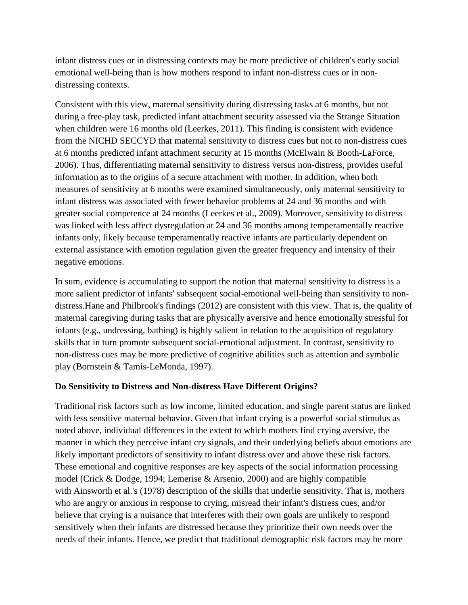infant distress cues or in distressing contexts may be more predictive of children's early social emotional well-being than is how mothers respond to infant non-distress cues or in nondistressing contexts.

Consistent with this view, maternal sensitivity during distressing tasks at 6 months, but not during a free-play task, predicted infant attachment security assessed via the Strange Situation when children were 16 months old (Leerkes, 2011). This finding is consistent with evidence from the NICHD SECCYD that maternal sensitivity to distress cues but not to non-distress cues at 6 months predicted infant attachment security at 15 months (McElwain & Booth**-**LaForce, 2006). Thus, differentiating maternal sensitivity to distress versus non-distress, provides useful information as to the origins of a secure attachment with mother. In addition, when both measures of sensitivity at 6 months were examined simultaneously, only maternal sensitivity to infant distress was associated with fewer behavior problems at 24 and 36 months and with greater social competence at 24 months (Leerkes et al., 2009). Moreover, sensitivity to distress was linked with less affect dysregulation at 24 and 36 months among temperamentally reactive infants only, likely because temperamentally reactive infants are particularly dependent on external assistance with emotion regulation given the greater frequency and intensity of their negative emotions.

In sum, evidence is accumulating to support the notion that maternal sensitivity to distress is a more salient predictor of infants' subsequent social-emotional well-being than sensitivity to nondistress.Hane and Philbrook's findings (2012) are consistent with this view. That is, the quality of maternal caregiving during tasks that are physically aversive and hence emotionally stressful for infants (e.g., undressing, bathing) is highly salient in relation to the acquisition of regulatory skills that in turn promote subsequent social-emotional adjustment. In contrast, sensitivity to non-distress cues may be more predictive of cognitive abilities such as attention and symbolic play (Bornstein & Tamis-LeMonda, 1997).

### **Do Sensitivity to Distress and Non-distress Have Different Origins?**

Traditional risk factors such as low income, limited education, and single parent status are linked with less sensitive maternal behavior. Given that infant crying is a powerful social stimulus as noted above, individual differences in the extent to which mothers find crying aversive, the manner in which they perceive infant cry signals, and their underlying beliefs about emotions are likely important predictors of sensitivity to infant distress over and above these risk factors. These emotional and cognitive responses are key aspects of the social information processing model (Crick & Dodge, 1994; Lemerise & Arsenio, 2000) and are highly compatible with Ainsworth et al.'s (1978) description of the skills that underlie sensitivity. That is, mothers who are angry or anxious in response to crying, misread their infant's distress cues, and/or believe that crying is a nuisance that interferes with their own goals are unlikely to respond sensitively when their infants are distressed because they prioritize their own needs over the needs of their infants. Hence, we predict that traditional demographic risk factors may be more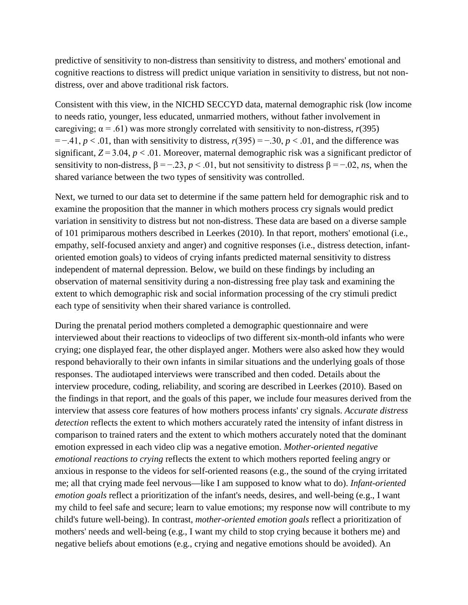predictive of sensitivity to non-distress than sensitivity to distress, and mothers' emotional and cognitive reactions to distress will predict unique variation in sensitivity to distress, but not nondistress, over and above traditional risk factors.

Consistent with this view, in the NICHD SECCYD data, maternal demographic risk (low income to needs ratio, younger, less educated, unmarried mothers, without father involvement in caregiving;  $\alpha = .61$ ) was more strongly correlated with sensitivity to non-distress,  $r(395)$ = −.41, *p* < .01, than with sensitivity to distress, *r*(395) = −.30, *p* < .01, and the difference was significant,  $Z = 3.04$ ,  $p < .01$ . Moreover, maternal demographic risk was a significant predictor of sensitivity to non-distress,  $\beta = -0.23$ ,  $p < 0.01$ , but not sensitivity to distress  $\beta = -0.02$ , *ns*, when the shared variance between the two types of sensitivity was controlled.

Next, we turned to our data set to determine if the same pattern held for demographic risk and to examine the proposition that the manner in which mothers process cry signals would predict variation in sensitivity to distress but not non-distress. These data are based on a diverse sample of 101 primiparous mothers described in Leerkes (2010). In that report, mothers' emotional (i.e., empathy, self-focused anxiety and anger) and cognitive responses (i.e., distress detection, infantoriented emotion goals) to videos of crying infants predicted maternal sensitivity to distress independent of maternal depression. Below, we build on these findings by including an observation of maternal sensitivity during a non-distressing free play task and examining the extent to which demographic risk and social information processing of the cry stimuli predict each type of sensitivity when their shared variance is controlled.

During the prenatal period mothers completed a demographic questionnaire and were interviewed about their reactions to videoclips of two different six-month-old infants who were crying; one displayed fear, the other displayed anger. Mothers were also asked how they would respond behaviorally to their own infants in similar situations and the underlying goals of those responses. The audiotaped interviews were transcribed and then coded. Details about the interview procedure, coding, reliability, and scoring are described in Leerkes (2010). Based on the findings in that report, and the goals of this paper, we include four measures derived from the interview that assess core features of how mothers process infants' cry signals. *Accurate distress detection* reflects the extent to which mothers accurately rated the intensity of infant distress in comparison to trained raters and the extent to which mothers accurately noted that the dominant emotion expressed in each video clip was a negative emotion. *Mother-oriented negative emotional reactions to crying* reflects the extent to which mothers reported feeling angry or anxious in response to the videos for self-oriented reasons (e.g., the sound of the crying irritated me; all that crying made feel nervous—like I am supposed to know what to do). *Infant-oriented emotion goals* reflect a prioritization of the infant's needs, desires, and well-being (e.g., I want my child to feel safe and secure; learn to value emotions; my response now will contribute to my child's future well-being). In contrast, *mother-oriented emotion goals* reflect a prioritization of mothers' needs and well-being (e.g., I want my child to stop crying because it bothers me) and negative beliefs about emotions (e.g., crying and negative emotions should be avoided). An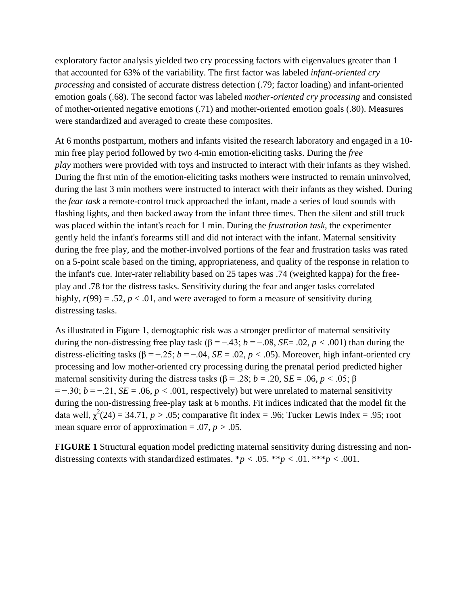exploratory factor analysis yielded two cry processing factors with eigenvalues greater than 1 that accounted for 63% of the variability. The first factor was labeled *infant-oriented cry processing* and consisted of accurate distress detection (.79; factor loading) and infant-oriented emotion goals (.68). The second factor was labeled *mother-oriented cry processing* and consisted of mother-oriented negative emotions (.71) and mother-oriented emotion goals (.80). Measures were standardized and averaged to create these composites.

At 6 months postpartum, mothers and infants visited the research laboratory and engaged in a 10 min free play period followed by two 4-min emotion-eliciting tasks. During the *free play* mothers were provided with toys and instructed to interact with their infants as they wished. During the first min of the emotion-eliciting tasks mothers were instructed to remain uninvolved, during the last 3 min mothers were instructed to interact with their infants as they wished. During the *fear task* a remote-control truck approached the infant, made a series of loud sounds with flashing lights, and then backed away from the infant three times. Then the silent and still truck was placed within the infant's reach for 1 min. During the *frustration task*, the experimenter gently held the infant's forearms still and did not interact with the infant. Maternal sensitivity during the free play, and the mother-involved portions of the fear and frustration tasks was rated on a 5-point scale based on the timing, appropriateness, and quality of the response in relation to the infant's cue. Inter-rater reliability based on 25 tapes was .74 (weighted kappa) for the freeplay and .78 for the distress tasks. Sensitivity during the fear and anger tasks correlated highly,  $r(99) = .52$ ,  $p < .01$ , and were averaged to form a measure of sensitivity during distressing tasks.

As illustrated in Figure 1, demographic risk was a stronger predictor of maternal sensitivity during the non-distressing free play task (β = −.43; *b* = −.08, *SE*= .02, *p <* .001) than during the distress-eliciting tasks (β = −.25; *b* = −.04, *SE* = .02, *p* < .05). Moreover, high infant-oriented cry processing and low mother-oriented cry processing during the prenatal period predicted higher maternal sensitivity during the distress tasks ( $\beta$  = .28; *b* = .20, *SE* = .06, *p* < .05;  $\beta$ = −.30; *b* = −.21, *SE* = .06, *p <* .001, respectively) but were unrelated to maternal sensitivity during the non-distressing free-play task at 6 months. Fit indices indicated that the model fit the data well,  $\chi^2(24) = 34.71$ ,  $p > .05$ ; comparative fit index = .96; Tucker Lewis Index = .95; root mean square error of approximation  $= .07$ ,  $p > .05$ .

**FIGURE 1** Structural equation model predicting maternal sensitivity during distressing and nondistressing contexts with standardized estimates.  $\frac{*p}{s} < .05$ .  $\frac{*p}{s} < .01$ .  $\frac{*p}{s} < .001$ .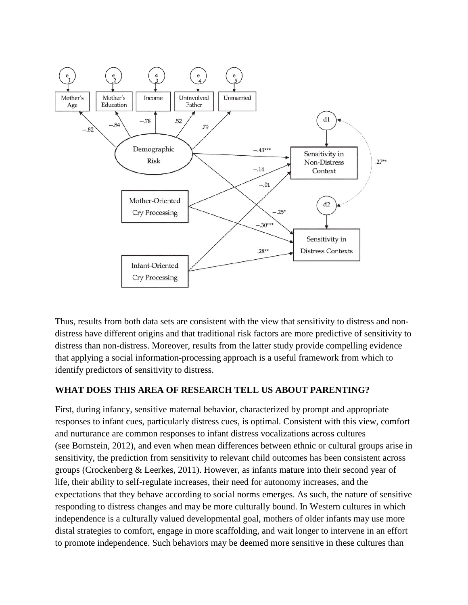

Thus, results from both data sets are consistent with the view that sensitivity to distress and nondistress have different origins and that traditional risk factors are more predictive of sensitivity to distress than non-distress. Moreover, results from the latter study provide compelling evidence that applying a social information-processing approach is a useful framework from which to identify predictors of sensitivity to distress.

### **WHAT DOES THIS AREA OF RESEARCH TELL US ABOUT PARENTING?**

First, during infancy, sensitive maternal behavior, characterized by prompt and appropriate responses to infant cues, particularly distress cues, is optimal. Consistent with this view, comfort and nurturance are common responses to infant distress vocalizations across cultures (see Bornstein, 2012), and even when mean differences between ethnic or cultural groups arise in sensitivity, the prediction from sensitivity to relevant child outcomes has been consistent across groups (Crockenberg & Leerkes, 2011). However, as infants mature into their second year of life, their ability to self-regulate increases, their need for autonomy increases, and the expectations that they behave according to social norms emerges. As such, the nature of sensitive responding to distress changes and may be more culturally bound. In Western cultures in which independence is a culturally valued developmental goal, mothers of older infants may use more distal strategies to comfort, engage in more scaffolding, and wait longer to intervene in an effort to promote independence. Such behaviors may be deemed more sensitive in these cultures than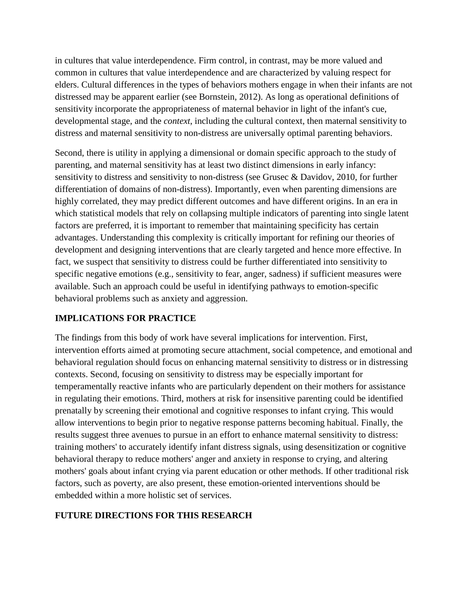in cultures that value interdependence. Firm control, in contrast, may be more valued and common in cultures that value interdependence and are characterized by valuing respect for elders. Cultural differences in the types of behaviors mothers engage in when their infants are not distressed may be apparent earlier (see Bornstein, 2012). As long as operational definitions of sensitivity incorporate the appropriateness of maternal behavior in light of the infant's cue, developmental stage, and the *context*, including the cultural context, then maternal sensitivity to distress and maternal sensitivity to non-distress are universally optimal parenting behaviors.

Second, there is utility in applying a dimensional or domain specific approach to the study of parenting, and maternal sensitivity has at least two distinct dimensions in early infancy: sensitivity to distress and sensitivity to non-distress (see Grusec & Davidov, 2010, for further differentiation of domains of non-distress). Importantly, even when parenting dimensions are highly correlated, they may predict different outcomes and have different origins. In an era in which statistical models that rely on collapsing multiple indicators of parenting into single latent factors are preferred, it is important to remember that maintaining specificity has certain advantages. Understanding this complexity is critically important for refining our theories of development and designing interventions that are clearly targeted and hence more effective. In fact, we suspect that sensitivity to distress could be further differentiated into sensitivity to specific negative emotions (e.g., sensitivity to fear, anger, sadness) if sufficient measures were available. Such an approach could be useful in identifying pathways to emotion-specific behavioral problems such as anxiety and aggression.

### **IMPLICATIONS FOR PRACTICE**

The findings from this body of work have several implications for intervention. First, intervention efforts aimed at promoting secure attachment, social competence, and emotional and behavioral regulation should focus on enhancing maternal sensitivity to distress or in distressing contexts. Second, focusing on sensitivity to distress may be especially important for temperamentally reactive infants who are particularly dependent on their mothers for assistance in regulating their emotions. Third, mothers at risk for insensitive parenting could be identified prenatally by screening their emotional and cognitive responses to infant crying. This would allow interventions to begin prior to negative response patterns becoming habitual. Finally, the results suggest three avenues to pursue in an effort to enhance maternal sensitivity to distress: training mothers' to accurately identify infant distress signals, using desensitization or cognitive behavioral therapy to reduce mothers' anger and anxiety in response to crying, and altering mothers' goals about infant crying via parent education or other methods. If other traditional risk factors, such as poverty, are also present, these emotion-oriented interventions should be embedded within a more holistic set of services.

### **FUTURE DIRECTIONS FOR THIS RESEARCH**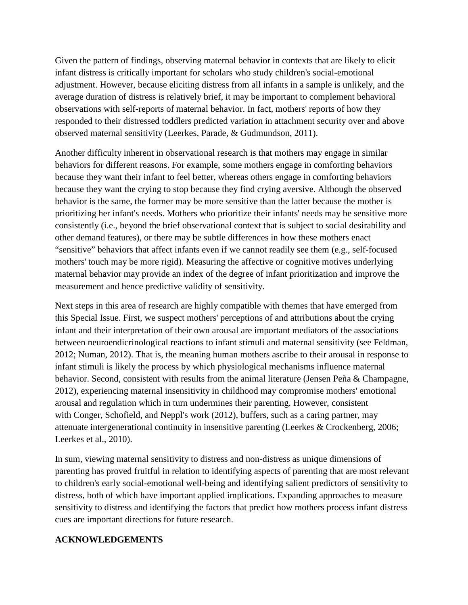Given the pattern of findings, observing maternal behavior in contexts that are likely to elicit infant distress is critically important for scholars who study children's social-emotional adjustment. However, because eliciting distress from all infants in a sample is unlikely, and the average duration of distress is relatively brief, it may be important to complement behavioral observations with self-reports of maternal behavior. In fact, mothers' reports of how they responded to their distressed toddlers predicted variation in attachment security over and above observed maternal sensitivity (Leerkes, Parade, & Gudmundson, 2011).

Another difficulty inherent in observational research is that mothers may engage in similar behaviors for different reasons. For example, some mothers engage in comforting behaviors because they want their infant to feel better, whereas others engage in comforting behaviors because they want the crying to stop because they find crying aversive. Although the observed behavior is the same, the former may be more sensitive than the latter because the mother is prioritizing her infant's needs. Mothers who prioritize their infants' needs may be sensitive more consistently (i.e., beyond the brief observational context that is subject to social desirability and other demand features), or there may be subtle differences in how these mothers enact "sensitive" behaviors that affect infants even if we cannot readily see them (e.g., self-focused mothers' touch may be more rigid). Measuring the affective or cognitive motives underlying maternal behavior may provide an index of the degree of infant prioritization and improve the measurement and hence predictive validity of sensitivity.

Next steps in this area of research are highly compatible with themes that have emerged from this Special Issue. First, we suspect mothers' perceptions of and attributions about the crying infant and their interpretation of their own arousal are important mediators of the associations between neuroendicrinological reactions to infant stimuli and maternal sensitivity (see Feldman, 2012; Numan, 2012). That is, the meaning human mothers ascribe to their arousal in response to infant stimuli is likely the process by which physiological mechanisms influence maternal behavior. Second, consistent with results from the animal literature (Jensen Peña & Champagne, 2012), experiencing maternal insensitivity in childhood may compromise mothers' emotional arousal and regulation which in turn undermines their parenting. However, consistent with Conger, Schofield, and Neppl's work (2012), buffers, such as a caring partner, may attenuate intergenerational continuity in insensitive parenting (Leerkes & Crockenberg, 2006; Leerkes et al., 2010).

In sum, viewing maternal sensitivity to distress and non-distress as unique dimensions of parenting has proved fruitful in relation to identifying aspects of parenting that are most relevant to children's early social-emotional well-being and identifying salient predictors of sensitivity to distress, both of which have important applied implications. Expanding approaches to measure sensitivity to distress and identifying the factors that predict how mothers process infant distress cues are important directions for future research.

#### **ACKNOWLEDGEMENTS**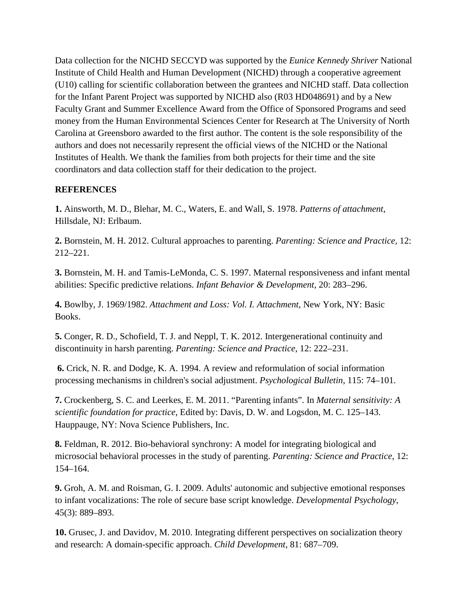Data collection for the NICHD SECCYD was supported by the *Eunice Kennedy Shriver* National Institute of Child Health and Human Development (NICHD) through a cooperative agreement (U10) calling for scientific collaboration between the grantees and NICHD staff. Data collection for the Infant Parent Project was supported by NICHD also (R03 HD048691) and by a New Faculty Grant and Summer Excellence Award from the Office of Sponsored Programs and seed money from the Human Environmental Sciences Center for Research at The University of North Carolina at Greensboro awarded to the first author. The content is the sole responsibility of the authors and does not necessarily represent the official views of the NICHD or the National Institutes of Health. We thank the families from both projects for their time and the site coordinators and data collection staff for their dedication to the project.

## **REFERENCES**

**1.** Ainsworth, M. D., Blehar, M. C., Waters, E. and Wall, S. 1978. *Patterns of attachment*, Hillsdale, NJ: Erlbaum.

**2.** Bornstein, M. H. 2012. Cultural approaches to parenting. *Parenting: Science and Practice*, 12: 212–221.

**3.** Bornstein, M. H. and Tamis-LeMonda, C. S. 1997. Maternal responsiveness and infant mental abilities: Specific predictive relations. *Infant Behavior & Development*, 20: 283–296.

**4.** Bowlby, J. 1969/1982. *Attachment and Loss: Vol. I. Attachment*, New York, NY: Basic Books.

**5.** Conger, R. D., Schofield, T. J. and Neppl, T. K. 2012. Intergenerational continuity and discontinuity in harsh parenting. *Parenting: Science and Practice*, 12: 222–231.

**6.** Crick, N. R. and Dodge, K. A. 1994. A review and reformulation of social information processing mechanisms in children's social adjustment. *Psychological Bulletin*, 115: 74–101.

**7.** Crockenberg, S. C. and Leerkes, E. M. 2011. "Parenting infants". In *Maternal sensitivity: A scientific foundation for practice*, Edited by: Davis, D. W. and Logsdon, M. C. 125–143. Hauppauge, NY: Nova Science Publishers, Inc.

**8.** Feldman, R. 2012. Bio-behavioral synchrony: A model for integrating biological and microsocial behavioral processes in the study of parenting. *Parenting: Science and Practice*, 12: 154–164.

**9.** Groh, A. M. and Roisman, G. I. 2009. Adults' autonomic and subjective emotional responses to infant vocalizations: The role of secure base script knowledge. *Developmental Psychology*, 45(3): 889–893.

**10.** Grusec, J. and Davidov, M. 2010. Integrating different perspectives on socialization theory and research: A domain-specific approach. *Child Development*, 81: 687–709.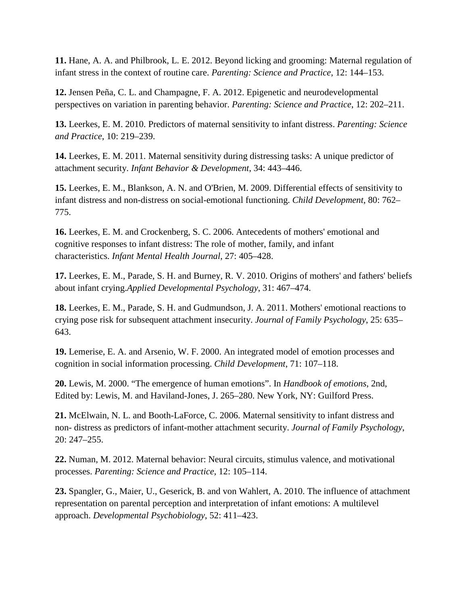**11.** Hane, A. A. and Philbrook, L. E. 2012. Beyond licking and grooming: Maternal regulation of infant stress in the context of routine care. *Parenting: Science and Practice*, 12: 144–153.

**12.** Jensen Peña, C. L. and Champagne, F. A. 2012. Epigenetic and neurodevelopmental perspectives on variation in parenting behavior. *Parenting: Science and Practice*, 12: 202–211.

**13.** Leerkes, E. M. 2010. Predictors of maternal sensitivity to infant distress. *Parenting: Science and Practice*, 10: 219–239.

**14.** Leerkes, E. M. 2011. Maternal sensitivity during distressing tasks: A unique predictor of attachment security. *Infant Behavior & Development*, 34: 443–446.

**15.** Leerkes, E. M., Blankson, A. N. and O'Brien, M. 2009. Differential effects of sensitivity to infant distress and non-distress on social-emotional functioning. *Child Development*, 80: 762– 775.

**16.** Leerkes, E. M. and Crockenberg, S. C. 2006. Antecedents of mothers' emotional and cognitive responses to infant distress: The role of mother, family, and infant characteristics. *Infant Mental Health Journal*, 27: 405–428.

**17.** Leerkes, E. M., Parade, S. H. and Burney, R. V. 2010. Origins of mothers' and fathers' beliefs about infant crying.*Applied Developmental Psychology*, 31: 467–474.

**18.** Leerkes, E. M., Parade, S. H. and Gudmundson, J. A. 2011. Mothers' emotional reactions to crying pose risk for subsequent attachment insecurity. *Journal of Family Psychology*, 25: 635– 643.

**19.** Lemerise, E. A. and Arsenio, W. F. 2000. An integrated model of emotion processes and cognition in social information processing. *Child Development*, 71: 107–118.

**20.** Lewis, M. 2000. "The emergence of human emotions". In *Handbook of emotions*, 2nd, Edited by: Lewis, M. and Haviland-Jones, J. 265–280. New York, NY: Guilford Press.

**21.** McElwain, N. L. and Booth-LaForce, C. 2006. Maternal sensitivity to infant distress and non- distress as predictors of infant-mother attachment security. *Journal of Family Psychology*, 20: 247–255.

**22.** Numan, M. 2012. Maternal behavior: Neural circuits, stimulus valence, and motivational processes. *Parenting: Science and Practice*, 12: 105–114.

**23.** Spangler, G., Maier, U., Geserick, B. and von Wahlert, A. 2010. The influence of attachment representation on parental perception and interpretation of infant emotions: A multilevel approach. *Developmental Psychobiology*, 52: 411–423.